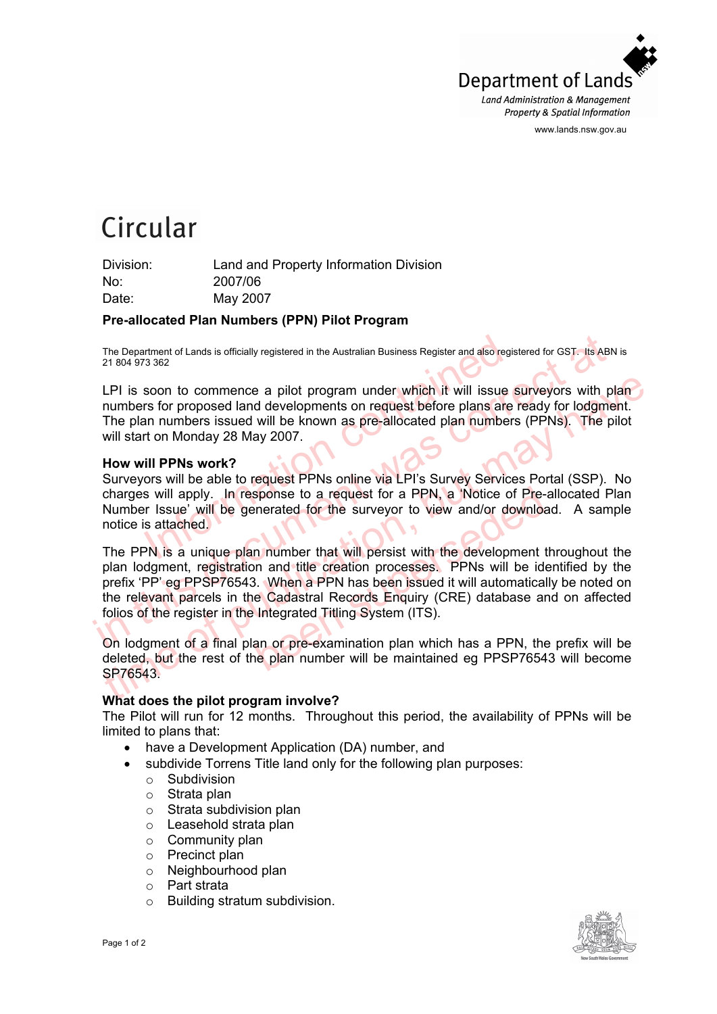

www.lands.nsw.gov.au

# Circular

Division: Land and Property Information Division No: 2007/06 Date: May 2007

## **Pre-allocated Plan Numbers (PPN) Pilot Program**

The Department of Lands is officially registered in the Australian Business Register and also registered for GST. Its ABN is 21 804 973 362

LPI is soon to commence a pilot program under which it will issue surveyors with plan numbers for proposed land developments on request before plans are ready for lodgment. The plan numbers issued will be known as pre-allocated plan numbers (PPNs). The pilot will start on Monday 28 May 2007.

## **How will PPNs work?**

The truent of Lands is officially registered in the Australian Business Register and also registary<br>
In 3362<br>
Soon to commence a pilot program under which it will issue seen stars for proposed land developments on request Surveyors will be able to request PPNs online via LPI's Survey Services Portal (SSP). No charges will apply. In response to a request for a PPN, a 'Notice of Pre-allocated Plan Number Issue' will be generated for the surveyor to view and/or download. A sample notice is attached.

The Department of Lands is officially registered in the Australian Business Register and also registered for GST. Its ABN 21 804 973 362<br>
LPI is soon to commence a pilot program under which it will issue surveyors with ph<br> LPI is soon to commence a pilot program under which it will issue surveyors with plan numbers for proposed land developments on request before plans are ready for lodgment.<br>The plan numbers issued will be known as pre-allo sponse to a request for a PPN, a 'Notice of Pre-<br>enerated for the surveyor to view and/or downloa<br>n number that will persist with the development the<br>n and title creation processes. PPNs will be ide<br>3. When a PPN has been The PPN is a unique plan number that will persist with the development throughout the plan lodgment, registration and title creation processes. PPNs will be identified by the prefix 'PP' eg PPSP76543. When a PPN has been issued it will automatically be noted on the relevant parcels in the Cadastral Records Enquiry (CRE) database and on affected folios of the register in the Integrated Titling System (ITS).

On lodgment of a final plan or pre-examination plan which has a PPN, the prefix will be deleted, but the rest of the plan number will be maintained eg PPSP76543 will become SP76543.

## **What does the pilot program involve?**

The Pilot will run for 12 months. Throughout this period, the availability of PPNs will be limited to plans that:

- have a Development Application (DA) number, and
- subdivide Torrens Title land only for the following plan purposes:
	- o Subdivision
	- o Strata plan
	- o Strata subdivision plan
	- o Leasehold strata plan
	- $\circ$  Community plan
	- o Precinct plan
	- o Neighbourhood plan
	- o Part strata
	- o Building stratum subdivision.

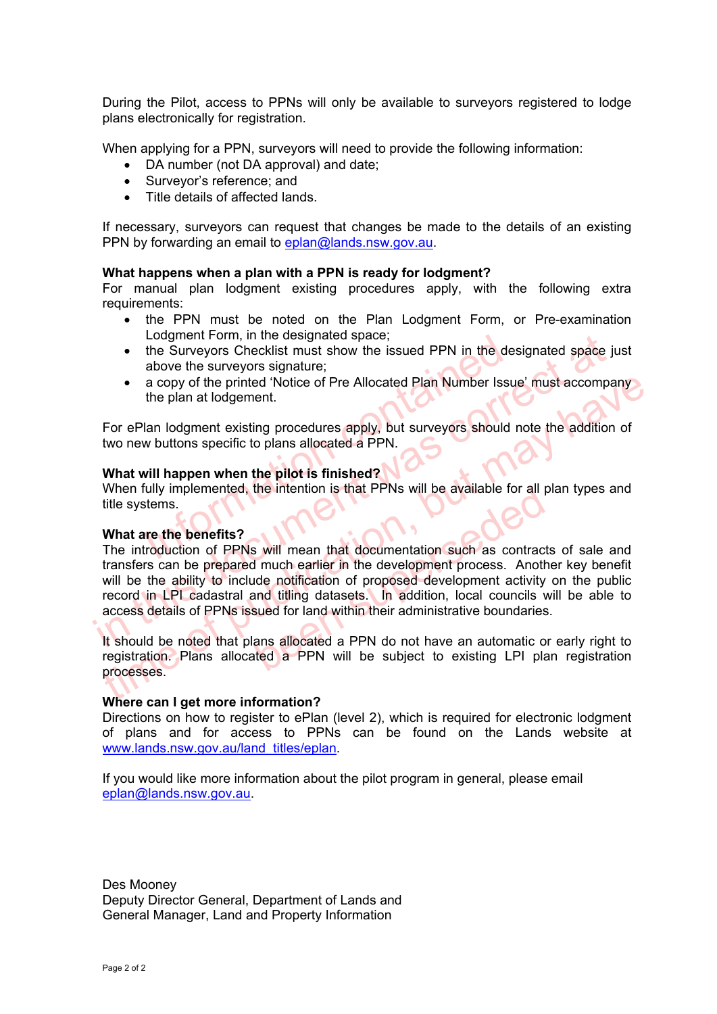During the Pilot, access to PPNs will only be available to surveyors registered to lodge plans electronically for registration.

When applying for a PPN, surveyors will need to provide the following information:

- DA number (not DA approval) and date;
- Surveyor's reference; and
- Title details of affected lands.

If necessary, surveyors can request that changes be made to the details of an existing PPN by forwarding an email to eplan@lands.nsw.gov.au.

# **What happens when a plan with a PPN is ready for lodgment?**

For manual plan lodgment existing procedures apply, with the following extra requirements:

- the PPN must be noted on the Plan Lodgment Form, or Pre-examination Lodgment Form, in the designated space;
- Europeint Form, in the designated space,<br>the Surveyors Checklist must show the issued PPN in the des<br>above the surveyors signature;<br>a copy of the printed 'Notice of Pre Allocated Plan Number Issu<br>the plan at lodgement.<br>lan • the Surveyors Checklist must show the issued PPN in the designated space just above the surveyors signature;
- a copy of the printed 'Notice of Pre Allocated Plan Number Issue' must accompany the plan at lodgement.

For ePlan lodgment existing procedures apply, but surveyors should note the addition of two new buttons specific to plans allocated a PPN.

# **What will happen when the pilot is finished?**

When fully implemented, the intention is that PPNs will be available for all plan types and title systems.

#### **What are the benefits?**

Longment Form, in the designated space;<br>
Longment Form, in the distants show the issued PPN in the designated space ju<br>
above the surveyors signature;<br>
• a copy of the printed 'Notice of Pre Allocated Plan Number Issue' mu • a copy of the printed 'Notice of Pre Allocated Plan Number Issue' must accompany<br>the plan at lodgement.<br>For ePlan lodgment existing procedures apply, but surveyors should note the addition of<br>two new buttons specific to the intention is that PPNs will be available for all p<br>s will mean that documentation such as contract:<br>d much earlier in the development process. Anoth<br>ide notification of proposed development activity<br>and titling dataset The introduction of PPNs will mean that documentation such as contracts of sale and transfers can be prepared much earlier in the development process. Another key benefit will be the ability to include notification of proposed development activity on the public record in LPI cadastral and titling datasets. In addition, local councils will be able to access details of PPNs issued for land within their administrative boundaries.

It should be noted that plans allocated a PPN do not have an automatic or early right to registration. Plans allocated a PPN will be subject to existing LPI plan registration processes.

#### **Where can I get more information?**

Directions on how to register to ePlan (level 2), which is required for electronic lodgment of plans and for access to PPNs can be found on the Lands website at www.lands.nsw.gov.au/land\_titles/eplan.

If you would like more information about the pilot program in general, please email eplan@lands.nsw.gov.au.

Des Mooney Deputy Director General, Department of Lands and General Manager, Land and Property Information